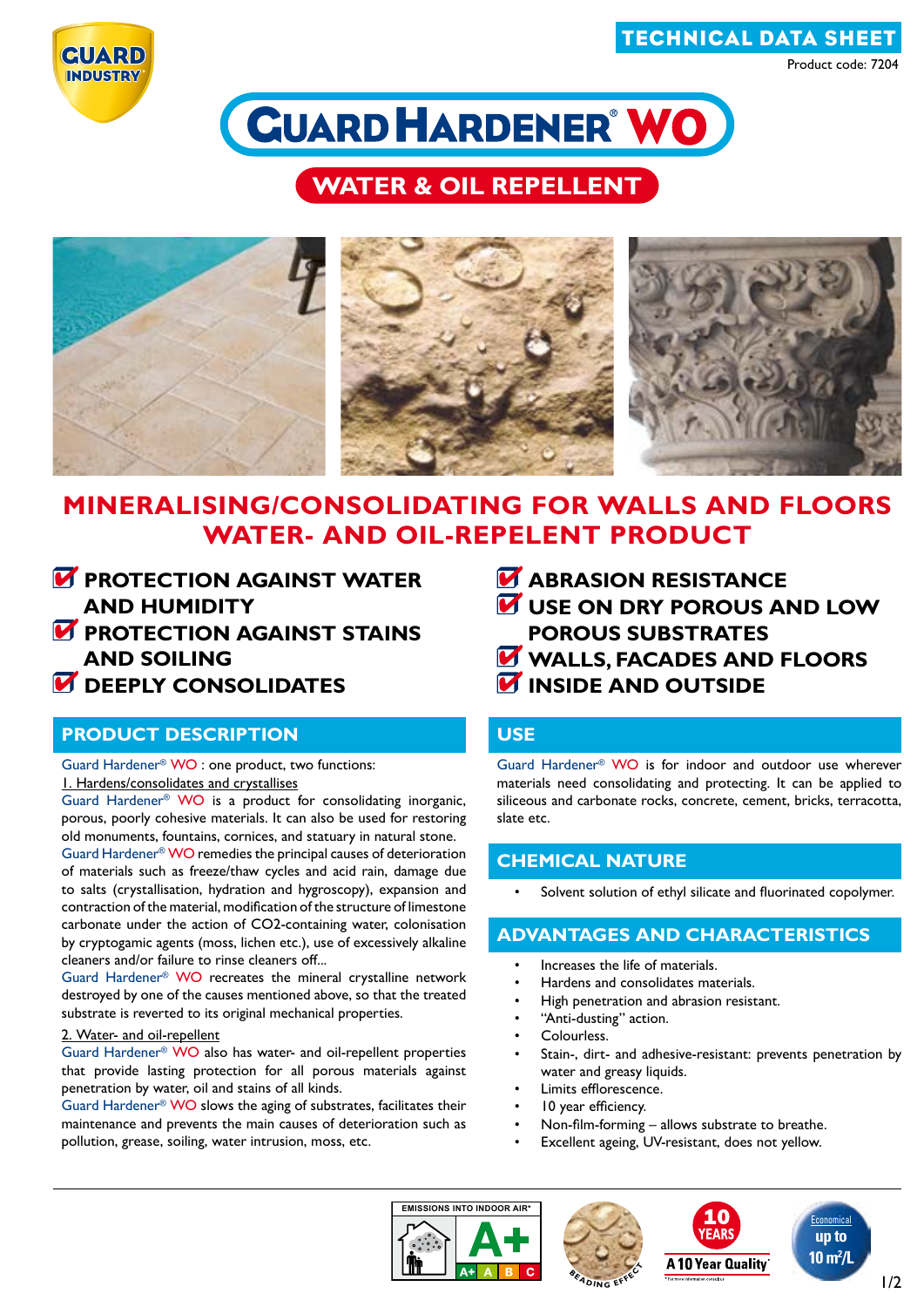



# **CUARD HARDENER WO**

# **WATER & OIL REPELLENT**



# **MINERALISING/CONSOLIDATING FOR WALLS AND FLOORS WATER- AND OIL-REPELENT PRODUCT**

- *M* **PROTECTION AGAINST WATER AND HUMIDITY**
- *M* **PROTECTION AGAINST STAINS AND SOILING**
- *M* DEEPLY CONSOLIDATES

# **PRODUCT DESCRIPTION**

Guard Hardener® WO : one product, two functions: 1. Hardens/consolidates and crystallises

Guard Hardener® WO is a product for consolidating inorganic, porous, poorly cohesive materials. It can also be used for restoring old monuments, fountains, cornices, and statuary in natural stone.

Guard Hardener® WO remedies the principal causes of deterioration of materials such as freeze/thaw cycles and acid rain, damage due to salts (crystallisation, hydration and hygroscopy), expansion and contraction of the material, modification of the structure of limestone carbonate under the action of CO2-containing water, colonisation by cryptogamic agents (moss, lichen etc.), use of excessively alkaline cleaners and/or failure to rinse cleaners off...

Guard Hardener® WO recreates the mineral crystalline network destroyed by one of the causes mentioned above, so that the treated substrate is reverted to its original mechanical properties.

#### 2. Water- and oil-repellent

Guard Hardener® WO also has water- and oil-repellent properties that provide lasting protection for all porous materials against penetration by water, oil and stains of all kinds.

Guard Hardener® WO slows the aging of substrates, facilitates their maintenance and prevents the main causes of deterioration such as pollution, grease, soiling, water intrusion, moss, etc.

- **M** ABRASION RESISTANCE
- *U* USE ON DRY POROUS AND LOW **POROUS SUBSTRATES**
- *M* WALLS, FACADES AND FLOORS
- *<b>M* INSIDE AND OUTSIDE

#### **USE**

Guard Hardener® WO is for indoor and outdoor use wherever materials need consolidating and protecting. It can be applied to siliceous and carbonate rocks, concrete, cement, bricks, terracotta, slate etc.

## **CHEMICAL NATURE**

Solvent solution of ethyl silicate and fluorinated copolymer.

## **ADVANTAGES AND CHARACTERISTICS**

- Increases the life of materials.
- Hardens and consolidates materials.
- High penetration and abrasion resistant.
- "Anti-dusting" action.
- Colourless.
- Stain-, dirt- and adhesive-resistant: prevents penetration by water and greasy liquids.
- Limits efflorescence.
- 10 year efficiency.
- Non-film-forming allows substrate to breathe.
- Excellent ageing, UV-resistant, does not yellow.







1/2